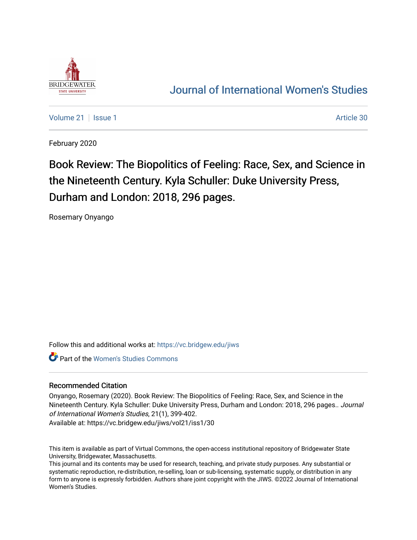

## [Journal of International Women's Studies](https://vc.bridgew.edu/jiws)

[Volume 21](https://vc.bridgew.edu/jiws/vol21) | [Issue 1](https://vc.bridgew.edu/jiws/vol21/iss1) Article 30

February 2020

# Book Review: The Biopolitics of Feeling: Race, Sex, and Science in the Nineteenth Century. Kyla Schuller: Duke University Press, Durham and London: 2018, 296 pages.

Rosemary Onyango

Follow this and additional works at: [https://vc.bridgew.edu/jiws](https://vc.bridgew.edu/jiws?utm_source=vc.bridgew.edu%2Fjiws%2Fvol21%2Fiss1%2F30&utm_medium=PDF&utm_campaign=PDFCoverPages)

**Part of the Women's Studies Commons** 

#### Recommended Citation

Onyango, Rosemary (2020). Book Review: The Biopolitics of Feeling: Race, Sex, and Science in the Nineteenth Century. Kyla Schuller: Duke University Press, Durham and London: 2018, 296 pages.. Journal of International Women's Studies, 21(1), 399-402.

Available at: https://vc.bridgew.edu/jiws/vol21/iss1/30

This item is available as part of Virtual Commons, the open-access institutional repository of Bridgewater State University, Bridgewater, Massachusetts.

This journal and its contents may be used for research, teaching, and private study purposes. Any substantial or systematic reproduction, re-distribution, re-selling, loan or sub-licensing, systematic supply, or distribution in any form to anyone is expressly forbidden. Authors share joint copyright with the JIWS. ©2022 Journal of International Women's Studies.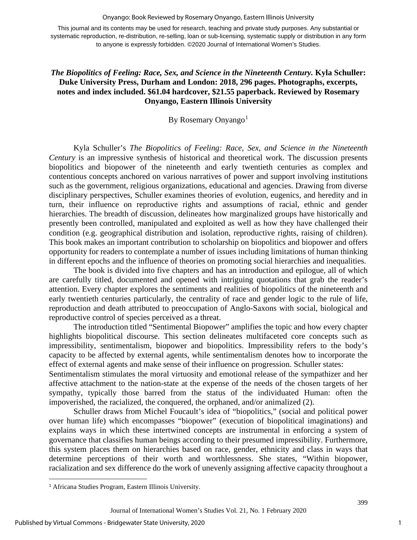#### Onyango: Book Reviewed by Rosemary Onyango, Eastern Illinois University

This journal and its contents may be used for research, teaching and private study purposes. Any substantial or systematic reproduction, re-distribution, re-selling, loan or sub-licensing, systematic supply or distribution in any form to anyone is expressly forbidden. ©2020 Journal of International Women's Studies.

### *The Biopolitics of Feeling: Race, Sex, and Science in the Nineteenth Century.* **Kyla Schuller: Duke University Press, Durham and London: 2018, 296 pages. Photographs, excerpts, notes and index included. \$61.04 hardcover, \$21.55 paperback. Reviewed by Rosemary Onyango, Eastern Illinois University**

By Rosemary Onyango<sup>[1](#page-1-0)</sup>

Kyla Schuller's *The Biopolitics of Feeling: Race, Sex, and Science in the Nineteenth Century* is an impressive synthesis of historical and theoretical work. The discussion presents biopolitics and biopower of the nineteenth and early twentieth centuries as complex and contentious concepts anchored on various narratives of power and support involving institutions such as the government, religious organizations, educational and agencies. Drawing from diverse disciplinary perspectives, Schuller examines theories of evolution, eugenics, and heredity and in turn, their influence on reproductive rights and assumptions of racial, ethnic and gender hierarchies. The breadth of discussion, delineates how marginalized groups have historically and presently been controlled, manipulated and exploited as well as how they have challenged their condition (e.g. geographical distribution and isolation, reproductive rights, raising of children). This book makes an important contribution to scholarship on biopolitics and biopower and offers opportunity for readers to contemplate a number of issues including limitations of human thinking in different epochs and the influence of theories on promoting social hierarchies and inequalities.

The book is divided into five chapters and has an introduction and epilogue, all of which are carefully titled, documented and opened with intriguing quotations that grab the reader's attention. Every chapter explores the sentiments and realities of biopolitics of the nineteenth and early twentieth centuries particularly, the centrality of race and gender logic to the rule of life, reproduction and death attributed to preoccupation of Anglo-Saxons with social, biological and reproductive control of species perceived as a threat.

The introduction titled "Sentimental Biopower" amplifies the topic and how every chapter highlights biopolitical discourse. This section delineates multifaceted core concepts such as impressibility, sentimentalism, biopower and biopolitics. Impressibility refers to the body's capacity to be affected by external agents, while sentimentalism denotes how to incorporate the effect of external agents and make sense of their influence on progression. Schuller states:

Sentimentalism stimulates the moral virtuosity and emotional release of the sympathizer and her affective attachment to the nation-state at the expense of the needs of the chosen targets of her sympathy, typically those barred from the status of the individuated Human: often the impoverished, the racialized, the conquered, the orphaned, and/or animalized (2).

Schuller draws from Michel Foucault's idea of "biopolitics," (social and political power over human life) which encompasses "biopower" (execution of biopolitical imaginations) and explains ways in which these intertwined concepts are instrumental in enforcing a system of governance that classifies human beings according to their presumed impressibility. Furthermore, this system places them on hierarchies based on race, gender, ethnicity and class in ways that determine perceptions of their worth and worthlessness. She states, "Within biopower, racialization and sex difference do the work of unevenly assigning affective capacity throughout a

1

<span id="page-1-0"></span><sup>1</sup> Africana Studies Program, Eastern Illinois University.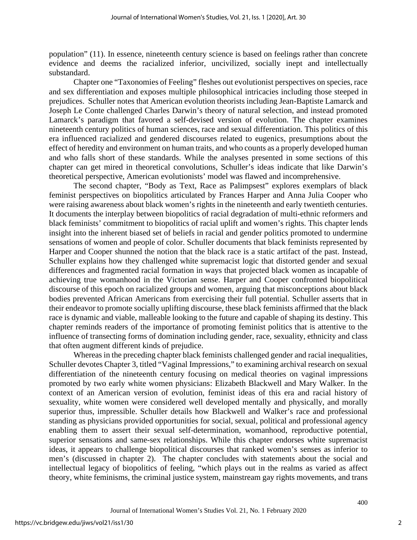population" (11). In essence, nineteenth century science is based on feelings rather than concrete evidence and deems the racialized inferior, uncivilized, socially inept and intellectually substandard.

Chapter one "Taxonomies of Feeling" fleshes out evolutionist perspectives on species, race and sex differentiation and exposes multiple philosophical intricacies including those steeped in prejudices. Schuller notes that American evolution theorists including Jean-Baptiste Lamarck and Joseph Le Conte challenged Charles Darwin's theory of natural selection, and instead promoted Lamarck's paradigm that favored a self-devised version of evolution. The chapter examines nineteenth century politics of human sciences, race and sexual differentiation. This politics of this era influenced racialized and gendered discourses related to eugenics, presumptions about the effect of heredity and environment on human traits, and who counts as a properly developed human and who falls short of these standards. While the analyses presented in some sections of this chapter can get mired in theoretical convolutions, Schuller's ideas indicate that like Darwin's theoretical perspective, American evolutionists' model was flawed and incomprehensive.

The second chapter, "Body as Text, Race as Palimpsest" explores exemplars of black feminist perspectives on biopolitics articulated by Frances Harper and Anna Julia Cooper who were raising awareness about black women's rights in the nineteenth and early twentieth centuries. It documents the interplay between biopolitics of racial degradation of multi-ethnic reformers and black feminists' commitment to biopolitics of racial uplift and women's rights. This chapter lends insight into the inherent biased set of beliefs in racial and gender politics promoted to undermine sensations of women and people of color. Schuller documents that black feminists represented by Harper and Cooper shunned the notion that the black race is a static artifact of the past. Instead, Schuller explains how they challenged white supremacist logic that distorted gender and sexual differences and fragmented racial formation in ways that projected black women as incapable of achieving true womanhood in the Victorian sense. Harper and Cooper confronted biopolitical discourse of this epoch on racialized groups and women, arguing that misconceptions about black bodies prevented African Americans from exercising their full potential. Schuller asserts that in their endeavor to promote socially uplifting discourse, these black feminists affirmed that the black race is dynamic and viable, malleable looking to the future and capable of shaping its destiny. This chapter reminds readers of the importance of promoting feminist politics that is attentive to the influence of transecting forms of domination including gender, race, sexuality, ethnicity and class that often augment different kinds of prejudice.

Whereas in the preceding chapter black feminists challenged gender and racial inequalities, Schuller devotes Chapter 3, titled "Vaginal Impressions," to examining archival research on sexual differentiation of the nineteenth century focusing on medical theories on vaginal impressions promoted by two early white women physicians: Elizabeth Blackwell and Mary Walker. In the context of an American version of evolution, feminist ideas of this era and racial history of sexuality, white women were considered well developed mentally and physically, and morally superior thus, impressible. Schuller details how Blackwell and Walker's race and professional standing as physicians provided opportunities for social, sexual, political and professional agency enabling them to assert their sexual self-determination, womanhood, reproductive potential, superior sensations and same-sex relationships. While this chapter endorses white supremacist ideas, it appears to challenge biopolitical discourses that ranked women's senses as inferior to men's (discussed in chapter 2). The chapter concludes with statements about the social and intellectual legacy of biopolitics of feeling, "which plays out in the realms as varied as affect theory, white feminisms, the criminal justice system, mainstream gay rights movements, and trans

400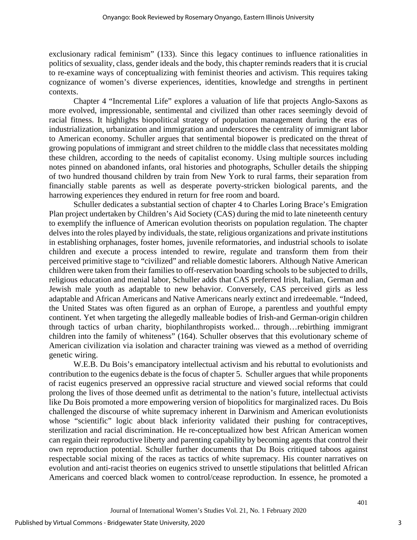exclusionary radical feminism" (133). Since this legacy continues to influence rationalities in politics of sexuality, class, gender ideals and the body, this chapter reminds readers that it is crucial to re-examine ways of conceptualizing with feminist theories and activism. This requires taking cognizance of women's diverse experiences, identities, knowledge and strengths in pertinent contexts.

Chapter 4 "Incremental Life" explores a valuation of life that projects Anglo-Saxons as more evolved, impressionable, sentimental and civilized than other races seemingly devoid of racial fitness. It highlights biopolitical strategy of population management during the eras of industrialization, urbanization and immigration and underscores the centrality of immigrant labor to American economy. Schuller argues that sentimental biopower is predicated on the threat of growing populations of immigrant and street children to the middle class that necessitates molding these children, according to the needs of capitalist economy. Using multiple sources including notes pinned on abandoned infants, oral histories and photographs, Schuller details the shipping of two hundred thousand children by train from New York to rural farms, their separation from financially stable parents as well as desperate poverty-stricken biological parents, and the harrowing experiences they endured in return for free room and board.

Schuller dedicates a substantial section of chapter 4 to Charles Loring Brace's Emigration Plan project undertaken by Children's Aid Society (CAS) during the mid to late nineteenth century to exemplify the influence of American evolution theorists on population regulation. The chapter delves into the roles played by individuals, the state, religious organizations and private institutions in establishing orphanages, foster homes, juvenile reformatories, and industrial schools to isolate children and execute a process intended to rewire, regulate and transform them from their perceived primitive stage to "civilized" and reliable domestic laborers. Although Native American children were taken from their families to off-reservation boarding schools to be subjected to drills, religious education and menial labor, Schuller adds that CAS preferred Irish, Italian, German and Jewish male youth as adaptable to new behavior. Conversely, CAS perceived girls as less adaptable and African Americans and Native Americans nearly extinct and irredeemable. "Indeed, the United States was often figured as an orphan of Europe, a parentless and youthful empty continent. Yet when targeting the allegedly malleable bodies of Irish-and German-origin children through tactics of urban charity, biophilanthropists worked... through…rebirthing immigrant children into the family of whiteness" (164). Schuller observes that this evolutionary scheme of American civilization via isolation and character training was viewed as a method of overriding genetic wiring.

W.E.B. Du Bois's emancipatory intellectual activism and his rebuttal to evolutionists and contribution to the eugenics debate is the focus of chapter 5. Schuller argues that while proponents of racist eugenics preserved an oppressive racial structure and viewed social reforms that could prolong the lives of those deemed unfit as detrimental to the nation's future, intellectual activists like Du Bois promoted a more empowering version of biopolitics for marginalized races. Du Bois challenged the discourse of white supremacy inherent in Darwinism and American evolutionists whose "scientific" logic about black inferiority validated their pushing for contraceptives, sterilization and racial discrimination. He re-conceptualized how best African American women can regain their reproductive liberty and parenting capability by becoming agents that control their own reproduction potential. Schuller further documents that Du Bois critiqued taboos against respectable social mixing of the races as tactics of white supremacy. His counter narratives on evolution and anti-racist theories on eugenics strived to unsettle stipulations that belittled African Americans and coerced black women to control/cease reproduction. In essence, he promoted a